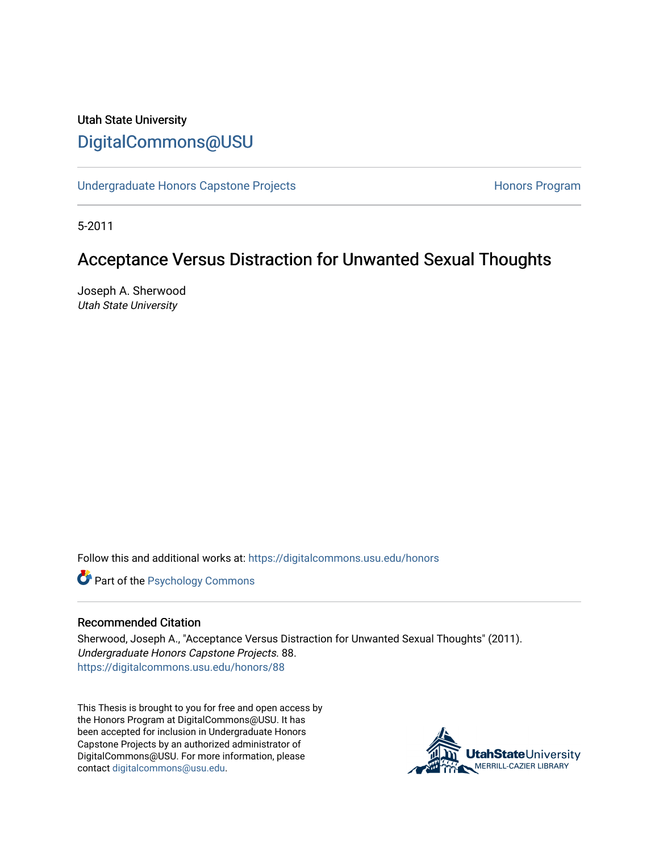# Utah State University [DigitalCommons@USU](https://digitalcommons.usu.edu/)

[Undergraduate Honors Capstone Projects](https://digitalcommons.usu.edu/honors) **Honors Program** Honors Program

5-2011

# Acceptance Versus Distraction for Unwanted Sexual Thoughts

Joseph A. Sherwood Utah State University

Follow this and additional works at: [https://digitalcommons.usu.edu/honors](https://digitalcommons.usu.edu/honors?utm_source=digitalcommons.usu.edu%2Fhonors%2F88&utm_medium=PDF&utm_campaign=PDFCoverPages)

**Part of the Psychology Commons** 

### Recommended Citation

Sherwood, Joseph A., "Acceptance Versus Distraction for Unwanted Sexual Thoughts" (2011). Undergraduate Honors Capstone Projects. 88. [https://digitalcommons.usu.edu/honors/88](https://digitalcommons.usu.edu/honors/88?utm_source=digitalcommons.usu.edu%2Fhonors%2F88&utm_medium=PDF&utm_campaign=PDFCoverPages) 

This Thesis is brought to you for free and open access by the Honors Program at DigitalCommons@USU. It has been accepted for inclusion in Undergraduate Honors Capstone Projects by an authorized administrator of DigitalCommons@USU. For more information, please contact [digitalcommons@usu.edu](mailto:digitalcommons@usu.edu).

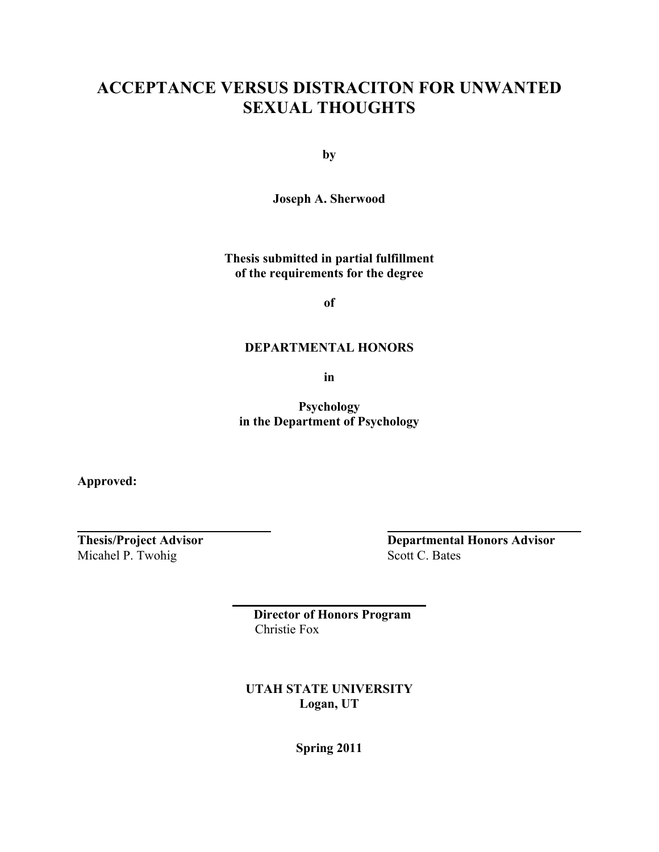# **ACCEPTANCE VERSUS DISTRACITON FOR UNWANTED SEXUAL THOUGHTS**

**by**

**Joseph A. Sherwood**

**Thesis submitted in partial fulfillment of the requirements for the degree**

**of**

## **DEPARTMENTAL HONORS**

**in**

**Psychology in the Department of Psychology** 

**Approved:**

Micahel P. Twohig Scott C. Bates

**Thesis/Project Advisor Departmental Honors Advisor**

 **Director of Honors Program** Christie Fox

**UTAH STATE UNIVERSITY Logan, UT**

**Spring 2011**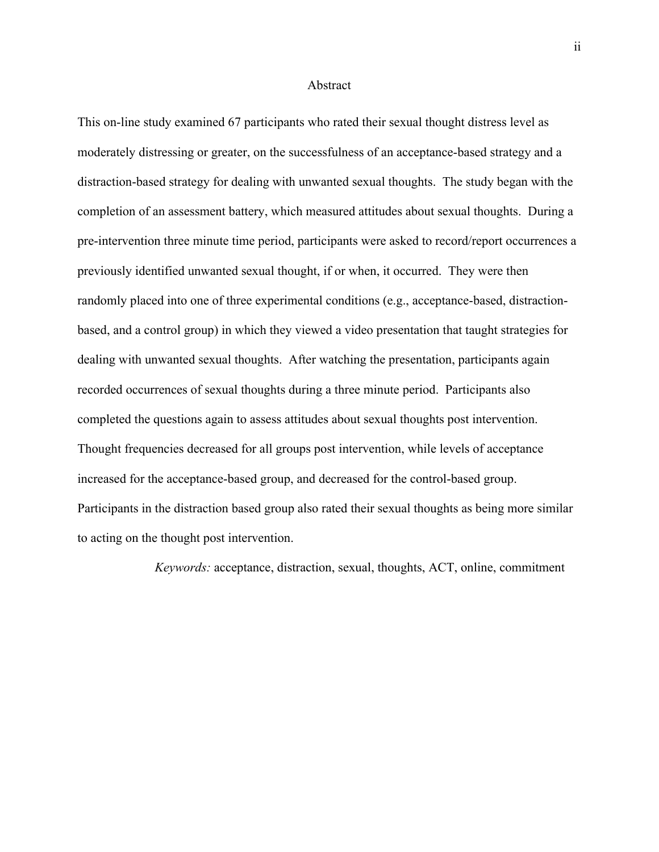#### Abstract

This on-line study examined 67 participants who rated their sexual thought distress level as moderately distressing or greater, on the successfulness of an acceptance-based strategy and a distraction-based strategy for dealing with unwanted sexual thoughts. The study began with the completion of an assessment battery, which measured attitudes about sexual thoughts. During a pre-intervention three minute time period, participants were asked to record/report occurrences a previously identified unwanted sexual thought, if or when, it occurred. They were then randomly placed into one of three experimental conditions (e.g., acceptance-based, distractionbased, and a control group) in which they viewed a video presentation that taught strategies for dealing with unwanted sexual thoughts. After watching the presentation, participants again recorded occurrences of sexual thoughts during a three minute period. Participants also completed the questions again to assess attitudes about sexual thoughts post intervention. Thought frequencies decreased for all groups post intervention, while levels of acceptance increased for the acceptance-based group, and decreased for the control-based group. Participants in the distraction based group also rated their sexual thoughts as being more similar to acting on the thought post intervention.

*Keywords:* acceptance, distraction, sexual, thoughts, ACT, online, commitment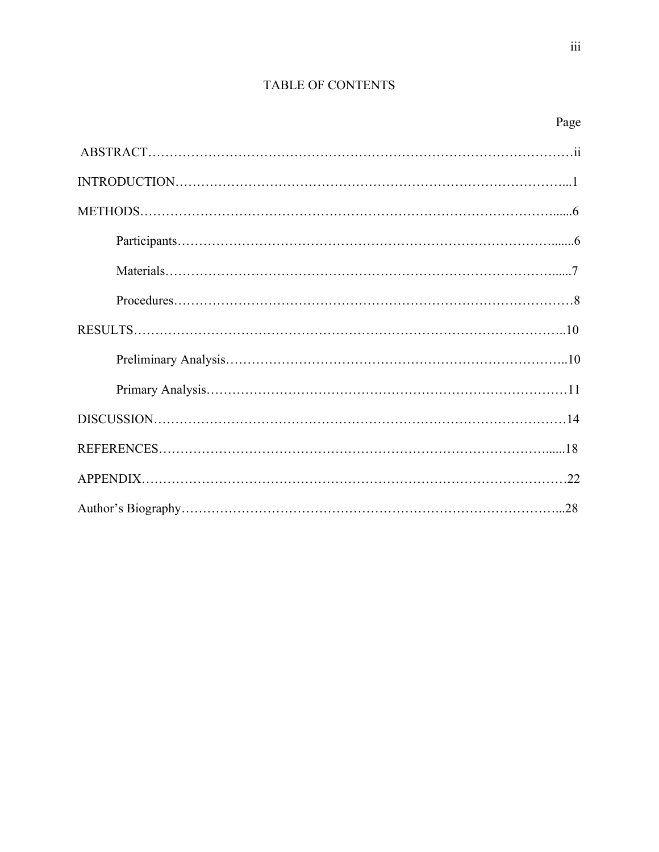## TABLE OF CONTENTS

|--|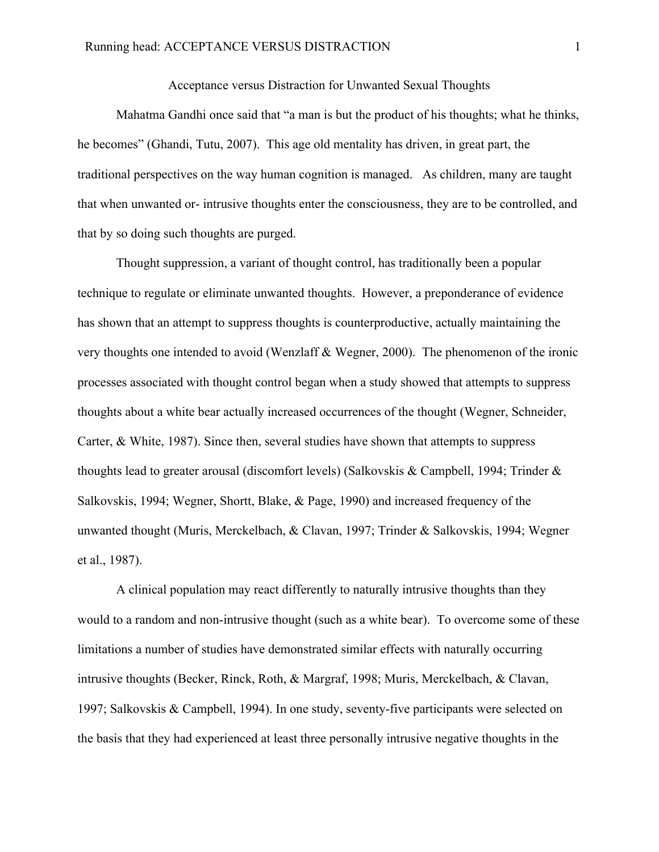## Acceptance versus Distraction for Unwanted Sexual Thoughts

Mahatma Gandhi once said that "a man is but the product of his thoughts; what he thinks, he becomes" (Ghandi, Tutu, 2007). This age old mentality has driven, in great part, the traditional perspectives on the way human cognition is managed. As children, many are taught that when unwanted or- intrusive thoughts enter the consciousness, they are to be controlled, and that by so doing such thoughts are purged.

Thought suppression, a variant of thought control, has traditionally been a popular technique to regulate or eliminate unwanted thoughts. However, a preponderance of evidence has shown that an attempt to suppress thoughts is counterproductive, actually maintaining the very thoughts one intended to avoid (Wenzlaff & Wegner, 2000). The phenomenon of the ironic processes associated with thought control began when a study showed that attempts to suppress thoughts about a white bear actually increased occurrences of the thought (Wegner, Schneider, Carter, & White, 1987). Since then, several studies have shown that attempts to suppress thoughts lead to greater arousal (discomfort levels) (Salkovskis & Campbell, 1994; Trinder & Salkovskis, 1994; Wegner, Shortt, Blake, & Page, 1990) and increased frequency of the unwanted thought (Muris, Merckelbach, & Clavan, 1997; Trinder & Salkovskis, 1994; Wegner et al., 1987).

A clinical population may react differently to naturally intrusive thoughts than they would to a random and non-intrusive thought (such as a white bear). To overcome some of these limitations a number of studies have demonstrated similar effects with naturally occurring intrusive thoughts (Becker, Rinck, Roth, & Margraf, 1998; Muris, Merckelbach, & Clavan, 1997; Salkovskis & Campbell, 1994). In one study, seventy-five participants were selected on the basis that they had experienced at least three personally intrusive negative thoughts in the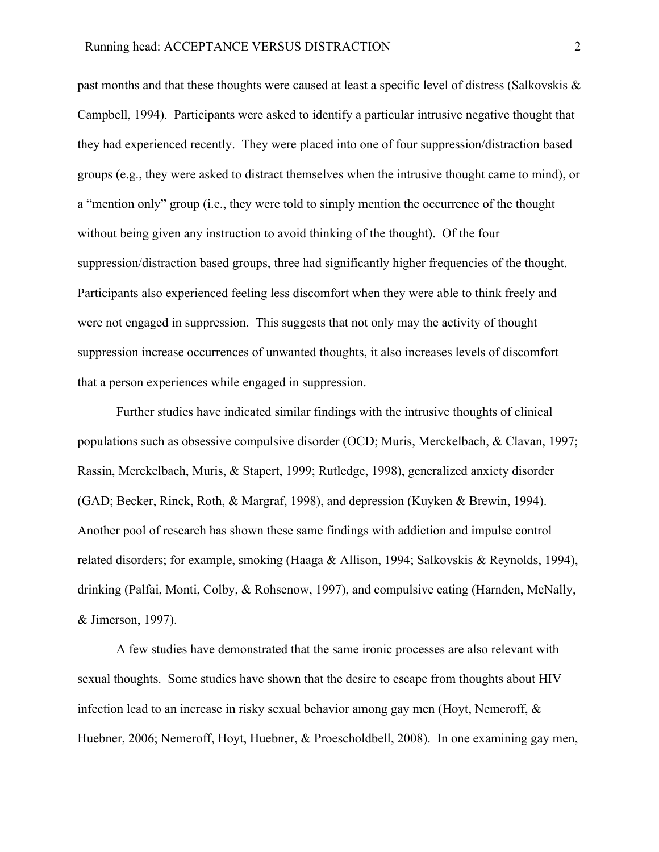past months and that these thoughts were caused at least a specific level of distress (Salkovskis & Campbell, 1994). Participants were asked to identify a particular intrusive negative thought that they had experienced recently. They were placed into one of four suppression/distraction based groups (e.g., they were asked to distract themselves when the intrusive thought came to mind), or a "mention only" group (i.e., they were told to simply mention the occurrence of the thought without being given any instruction to avoid thinking of the thought). Of the four suppression/distraction based groups, three had significantly higher frequencies of the thought. Participants also experienced feeling less discomfort when they were able to think freely and were not engaged in suppression. This suggests that not only may the activity of thought suppression increase occurrences of unwanted thoughts, it also increases levels of discomfort that a person experiences while engaged in suppression.

Further studies have indicated similar findings with the intrusive thoughts of clinical populations such as obsessive compulsive disorder (OCD; Muris, Merckelbach, & Clavan, 1997; Rassin, Merckelbach, Muris, & Stapert, 1999; Rutledge, 1998), generalized anxiety disorder (GAD; Becker, Rinck, Roth, & Margraf, 1998), and depression (Kuyken & Brewin, 1994). Another pool of research has shown these same findings with addiction and impulse control related disorders; for example, smoking (Haaga & Allison, 1994; Salkovskis & Reynolds, 1994), drinking (Palfai, Monti, Colby, & Rohsenow, 1997), and compulsive eating (Harnden, McNally, & Jimerson, 1997).

A few studies have demonstrated that the same ironic processes are also relevant with sexual thoughts. Some studies have shown that the desire to escape from thoughts about HIV infection lead to an increase in risky sexual behavior among gay men (Hoyt, Nemeroff, & Huebner, 2006; Nemeroff, Hoyt, Huebner, & Proescholdbell, 2008). In one examining gay men,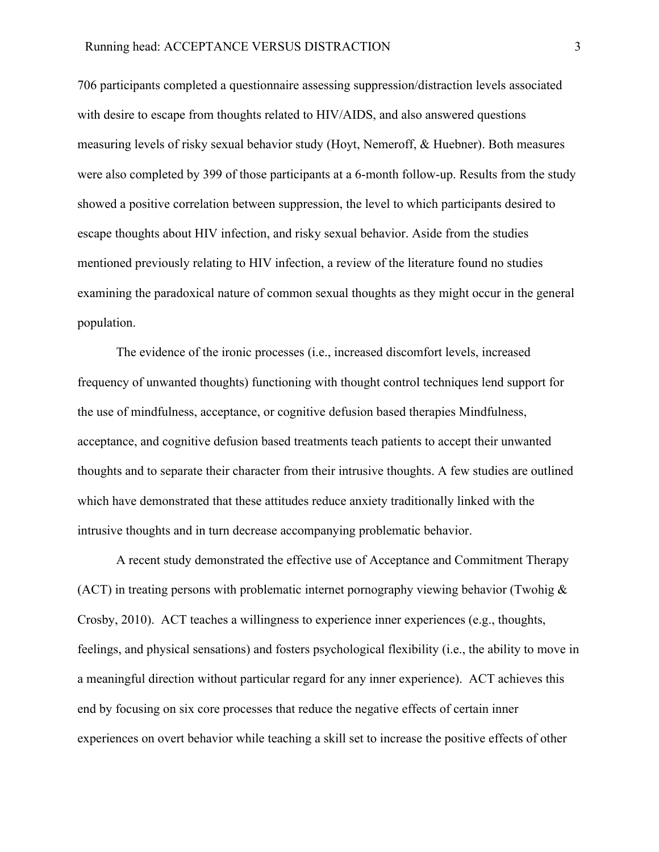706 participants completed a questionnaire assessing suppression/distraction levels associated with desire to escape from thoughts related to HIV/AIDS, and also answered questions measuring levels of risky sexual behavior study (Hoyt, Nemeroff, & Huebner). Both measures were also completed by 399 of those participants at a 6-month follow-up. Results from the study showed a positive correlation between suppression, the level to which participants desired to escape thoughts about HIV infection, and risky sexual behavior. Aside from the studies mentioned previously relating to HIV infection, a review of the literature found no studies examining the paradoxical nature of common sexual thoughts as they might occur in the general population.

The evidence of the ironic processes (i.e., increased discomfort levels, increased frequency of unwanted thoughts) functioning with thought control techniques lend support for the use of mindfulness, acceptance, or cognitive defusion based therapies Mindfulness, acceptance, and cognitive defusion based treatments teach patients to accept their unwanted thoughts and to separate their character from their intrusive thoughts. A few studies are outlined which have demonstrated that these attitudes reduce anxiety traditionally linked with the intrusive thoughts and in turn decrease accompanying problematic behavior.

A recent study demonstrated the effective use of Acceptance and Commitment Therapy (ACT) in treating persons with problematic internet pornography viewing behavior (Twohig & Crosby, 2010). ACT teaches a willingness to experience inner experiences (e.g., thoughts, feelings, and physical sensations) and fosters psychological flexibility (i.e., the ability to move in a meaningful direction without particular regard for any inner experience). ACT achieves this end by focusing on six core processes that reduce the negative effects of certain inner experiences on overt behavior while teaching a skill set to increase the positive effects of other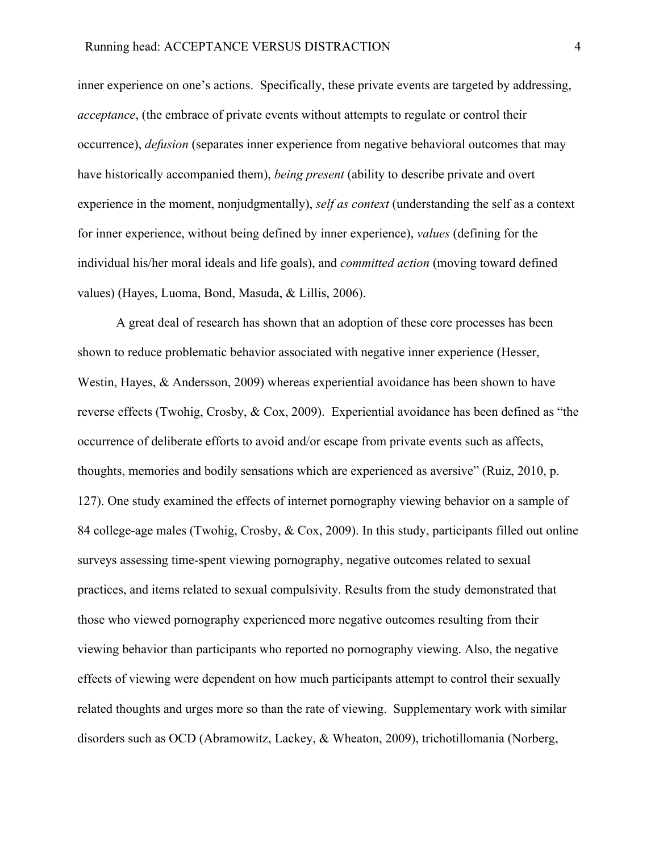inner experience on one's actions. Specifically, these private events are targeted by addressing, *acceptance*, (the embrace of private events without attempts to regulate or control their occurrence), *defusion* (separates inner experience from negative behavioral outcomes that may have historically accompanied them), *being present* (ability to describe private and overt experience in the moment, nonjudgmentally), *self as context* (understanding the self as a context for inner experience, without being defined by inner experience), *values* (defining for the individual his/her moral ideals and life goals), and *committed action* (moving toward defined values) (Hayes, Luoma, Bond, Masuda, & Lillis, 2006).

A great deal of research has shown that an adoption of these core processes has been shown to reduce problematic behavior associated with negative inner experience (Hesser, Westin, Hayes, & Andersson, 2009) whereas experiential avoidance has been shown to have reverse effects (Twohig, Crosby, & Cox, 2009). Experiential avoidance has been defined as "the occurrence of deliberate efforts to avoid and/or escape from private events such as affects, thoughts, memories and bodily sensations which are experienced as aversive" (Ruiz, 2010, p. 127). One study examined the effects of internet pornography viewing behavior on a sample of 84 college-age males (Twohig, Crosby, & Cox, 2009). In this study, participants filled out online surveys assessing time-spent viewing pornography, negative outcomes related to sexual practices, and items related to sexual compulsivity. Results from the study demonstrated that those who viewed pornography experienced more negative outcomes resulting from their viewing behavior than participants who reported no pornography viewing. Also, the negative effects of viewing were dependent on how much participants attempt to control their sexually related thoughts and urges more so than the rate of viewing. Supplementary work with similar disorders such as OCD (Abramowitz, Lackey, & Wheaton, 2009), trichotillomania (Norberg,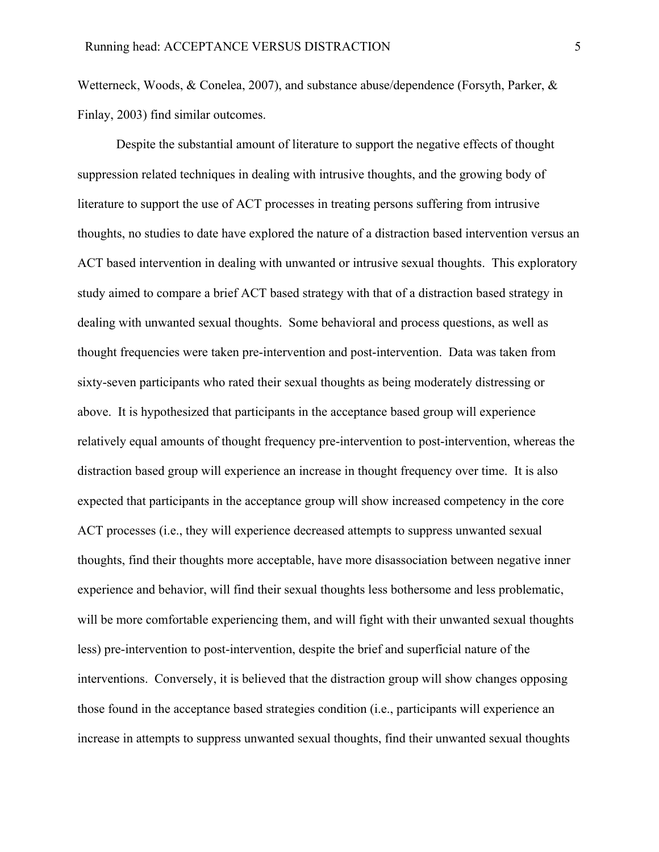Wetterneck, Woods, & Conelea, 2007), and substance abuse/dependence (Forsyth, Parker, & Finlay, 2003) find similar outcomes.

Despite the substantial amount of literature to support the negative effects of thought suppression related techniques in dealing with intrusive thoughts, and the growing body of literature to support the use of ACT processes in treating persons suffering from intrusive thoughts, no studies to date have explored the nature of a distraction based intervention versus an ACT based intervention in dealing with unwanted or intrusive sexual thoughts. This exploratory study aimed to compare a brief ACT based strategy with that of a distraction based strategy in dealing with unwanted sexual thoughts. Some behavioral and process questions, as well as thought frequencies were taken pre-intervention and post-intervention. Data was taken from sixty-seven participants who rated their sexual thoughts as being moderately distressing or above. It is hypothesized that participants in the acceptance based group will experience relatively equal amounts of thought frequency pre-intervention to post-intervention, whereas the distraction based group will experience an increase in thought frequency over time. It is also expected that participants in the acceptance group will show increased competency in the core ACT processes (i.e., they will experience decreased attempts to suppress unwanted sexual thoughts, find their thoughts more acceptable, have more disassociation between negative inner experience and behavior, will find their sexual thoughts less bothersome and less problematic, will be more comfortable experiencing them, and will fight with their unwanted sexual thoughts less) pre-intervention to post-intervention, despite the brief and superficial nature of the interventions. Conversely, it is believed that the distraction group will show changes opposing those found in the acceptance based strategies condition (i.e., participants will experience an increase in attempts to suppress unwanted sexual thoughts, find their unwanted sexual thoughts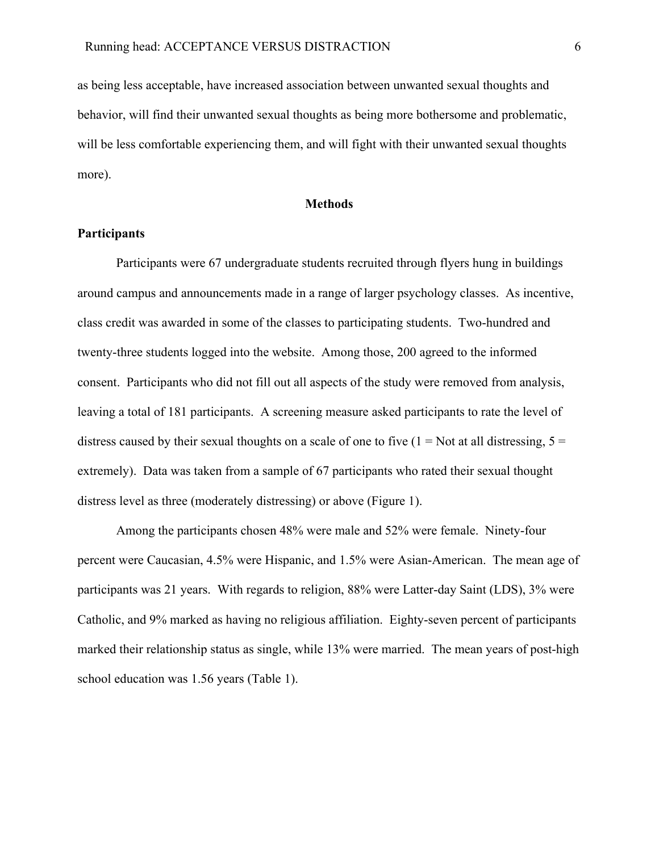as being less acceptable, have increased association between unwanted sexual thoughts and behavior, will find their unwanted sexual thoughts as being more bothersome and problematic, will be less comfortable experiencing them, and will fight with their unwanted sexual thoughts more).

### **Methods**

## **Participants**

Participants were 67 undergraduate students recruited through flyers hung in buildings around campus and announcements made in a range of larger psychology classes. As incentive, class credit was awarded in some of the classes to participating students. Two-hundred and twenty-three students logged into the website. Among those, 200 agreed to the informed consent. Participants who did not fill out all aspects of the study were removed from analysis, leaving a total of 181 participants. A screening measure asked participants to rate the level of distress caused by their sexual thoughts on a scale of one to five  $(1 = Not at all \text{ distres} \sin \theta, 5 =$ extremely). Data was taken from a sample of 67 participants who rated their sexual thought distress level as three (moderately distressing) or above (Figure 1).

Among the participants chosen 48% were male and 52% were female. Ninety-four percent were Caucasian, 4.5% were Hispanic, and 1.5% were Asian-American. The mean age of participants was 21 years. With regards to religion, 88% were Latter-day Saint (LDS), 3% were Catholic, and 9% marked as having no religious affiliation. Eighty-seven percent of participants marked their relationship status as single, while 13% were married. The mean years of post-high school education was 1.56 years (Table 1).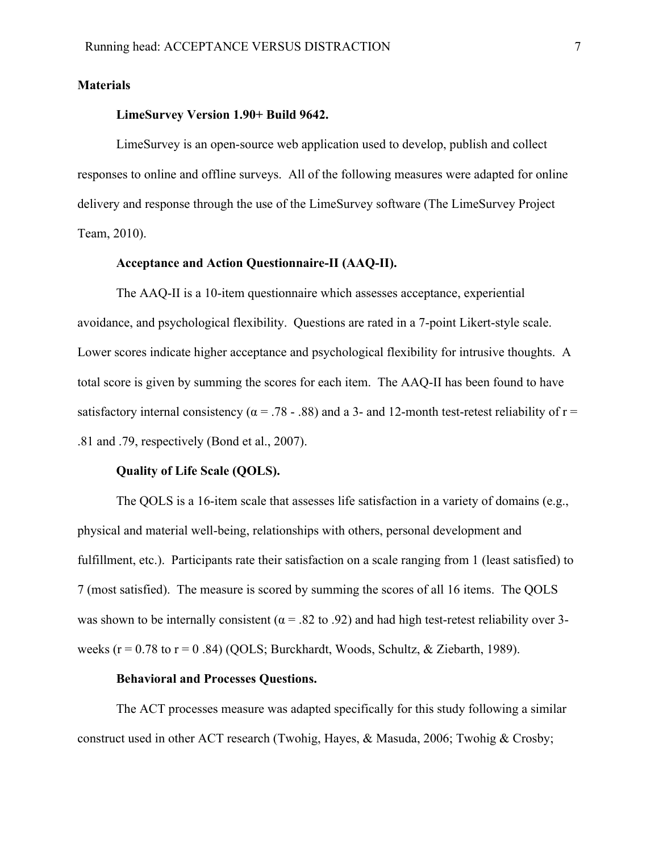## **Materials**

## **LimeSurvey Version 1.90+ Build 9642.**

LimeSurvey is an open-source web application used to develop, publish and collect responses to online and offline surveys. All of the following measures were adapted for online delivery and response through the use of the LimeSurvey software (The LimeSurvey Project Team, 2010).

## **Acceptance and Action Questionnaire-II (AAQ-II).**

The AAQ-II is a 10-item questionnaire which assesses acceptance, experiential avoidance, and psychological flexibility. Questions are rated in a 7-point Likert-style scale. Lower scores indicate higher acceptance and psychological flexibility for intrusive thoughts. A total score is given by summing the scores for each item. The AAQ-II has been found to have satisfactory internal consistency ( $\alpha$  = .78 - .88) and a 3- and 12-month test-retest reliability of r = .81 and .79, respectively (Bond et al., 2007).

#### **Quality of Life Scale (QOLS).**

The QOLS is a 16-item scale that assesses life satisfaction in a variety of domains (e.g., physical and material well-being, relationships with others, personal development and fulfillment, etc.). Participants rate their satisfaction on a scale ranging from 1 (least satisfied) to 7 (most satisfied). The measure is scored by summing the scores of all 16 items. The QOLS was shown to be internally consistent ( $\alpha$  = .82 to .92) and had high test-retest reliability over 3weeks ( $r = 0.78$  to  $r = 0.84$ ) (QOLS; Burckhardt, Woods, Schultz, & Ziebarth, 1989).

## **Behavioral and Processes Questions.**

The ACT processes measure was adapted specifically for this study following a similar construct used in other ACT research (Twohig, Hayes, & Masuda, 2006; Twohig & Crosby;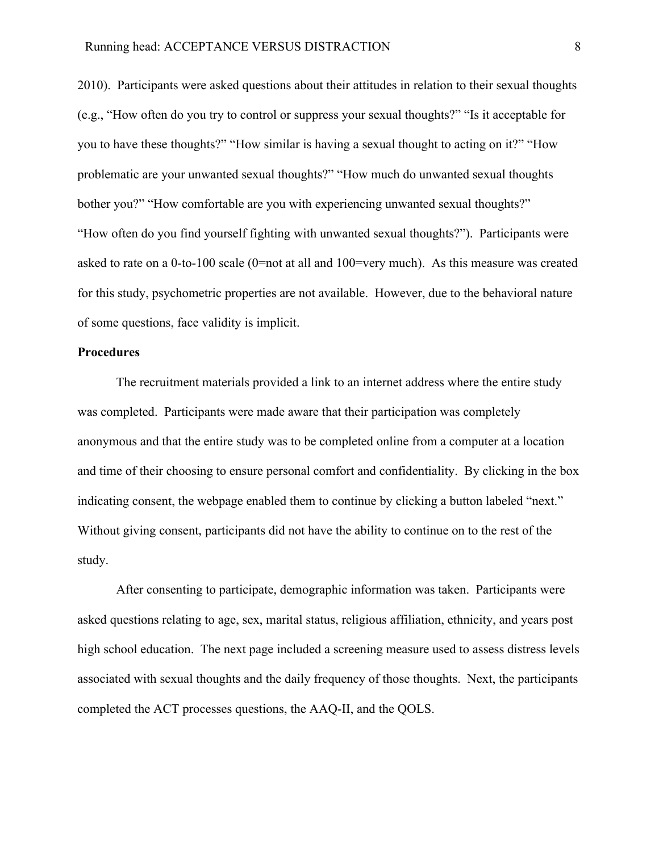2010). Participants were asked questions about their attitudes in relation to their sexual thoughts (e.g., "How often do you try to control or suppress your sexual thoughts?" "Is it acceptable for you to have these thoughts?" "How similar is having a sexual thought to acting on it?" "How problematic are your unwanted sexual thoughts?" "How much do unwanted sexual thoughts bother you?" "How comfortable are you with experiencing unwanted sexual thoughts?" "How often do you find yourself fighting with unwanted sexual thoughts?"). Participants were asked to rate on a 0-to-100 scale (0=not at all and 100=very much). As this measure was created for this study, psychometric properties are not available. However, due to the behavioral nature of some questions, face validity is implicit.

## **Procedures**

The recruitment materials provided a link to an internet address where the entire study was completed. Participants were made aware that their participation was completely anonymous and that the entire study was to be completed online from a computer at a location and time of their choosing to ensure personal comfort and confidentiality. By clicking in the box indicating consent, the webpage enabled them to continue by clicking a button labeled "next." Without giving consent, participants did not have the ability to continue on to the rest of the study.

After consenting to participate, demographic information was taken. Participants were asked questions relating to age, sex, marital status, religious affiliation, ethnicity, and years post high school education. The next page included a screening measure used to assess distress levels associated with sexual thoughts and the daily frequency of those thoughts. Next, the participants completed the ACT processes questions, the AAQ-II, and the QOLS.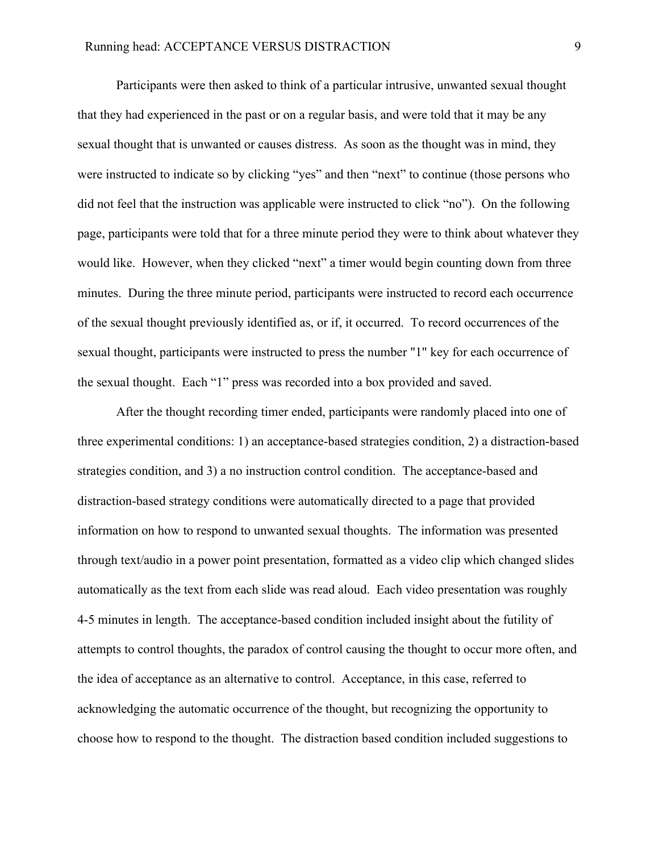Participants were then asked to think of a particular intrusive, unwanted sexual thought that they had experienced in the past or on a regular basis, and were told that it may be any sexual thought that is unwanted or causes distress. As soon as the thought was in mind, they were instructed to indicate so by clicking "yes" and then "next" to continue (those persons who did not feel that the instruction was applicable were instructed to click "no"). On the following page, participants were told that for a three minute period they were to think about whatever they would like. However, when they clicked "next" a timer would begin counting down from three minutes. During the three minute period, participants were instructed to record each occurrence of the sexual thought previously identified as, or if, it occurred. To record occurrences of the sexual thought, participants were instructed to press the number "1" key for each occurrence of the sexual thought. Each "1" press was recorded into a box provided and saved.

After the thought recording timer ended, participants were randomly placed into one of three experimental conditions: 1) an acceptance-based strategies condition, 2) a distraction-based strategies condition, and 3) a no instruction control condition. The acceptance-based and distraction-based strategy conditions were automatically directed to a page that provided information on how to respond to unwanted sexual thoughts. The information was presented through text/audio in a power point presentation, formatted as a video clip which changed slides automatically as the text from each slide was read aloud. Each video presentation was roughly 4-5 minutes in length. The acceptance-based condition included insight about the futility of attempts to control thoughts, the paradox of control causing the thought to occur more often, and the idea of acceptance as an alternative to control. Acceptance, in this case, referred to acknowledging the automatic occurrence of the thought, but recognizing the opportunity to choose how to respond to the thought. The distraction based condition included suggestions to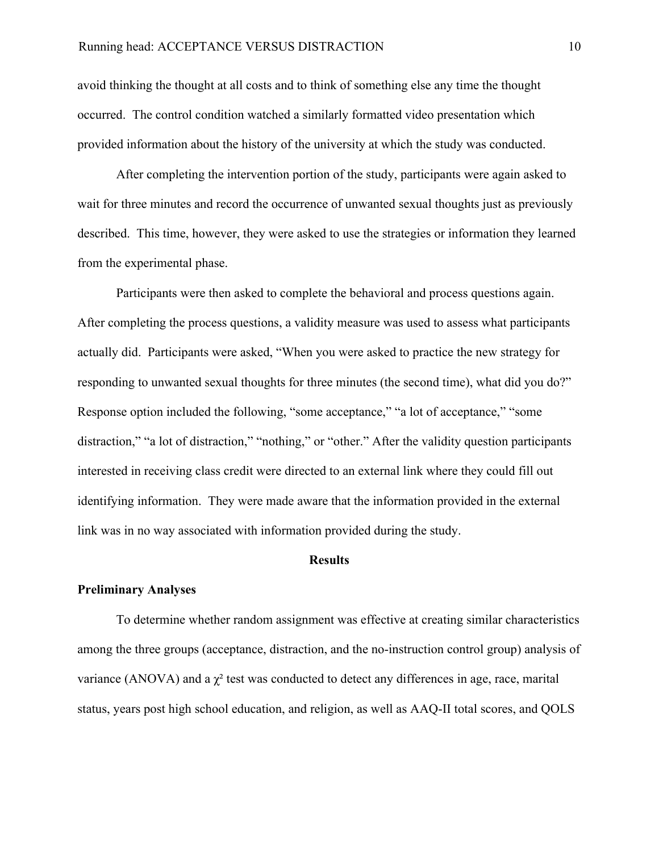avoid thinking the thought at all costs and to think of something else any time the thought occurred. The control condition watched a similarly formatted video presentation which provided information about the history of the university at which the study was conducted.

After completing the intervention portion of the study, participants were again asked to wait for three minutes and record the occurrence of unwanted sexual thoughts just as previously described. This time, however, they were asked to use the strategies or information they learned from the experimental phase.

Participants were then asked to complete the behavioral and process questions again. After completing the process questions, a validity measure was used to assess what participants actually did. Participants were asked, "When you were asked to practice the new strategy for responding to unwanted sexual thoughts for three minutes (the second time), what did you do?" Response option included the following, "some acceptance," "a lot of acceptance," "some distraction," "a lot of distraction," "nothing," or "other." After the validity question participants interested in receiving class credit were directed to an external link where they could fill out identifying information. They were made aware that the information provided in the external link was in no way associated with information provided during the study.

#### **Results**

### **Preliminary Analyses**

To determine whether random assignment was effective at creating similar characteristics among the three groups (acceptance, distraction, and the no-instruction control group) analysis of variance (ANOVA) and a  $\chi^2$  test was conducted to detect any differences in age, race, marital status, years post high school education, and religion, as well as AAQ-II total scores, and QOLS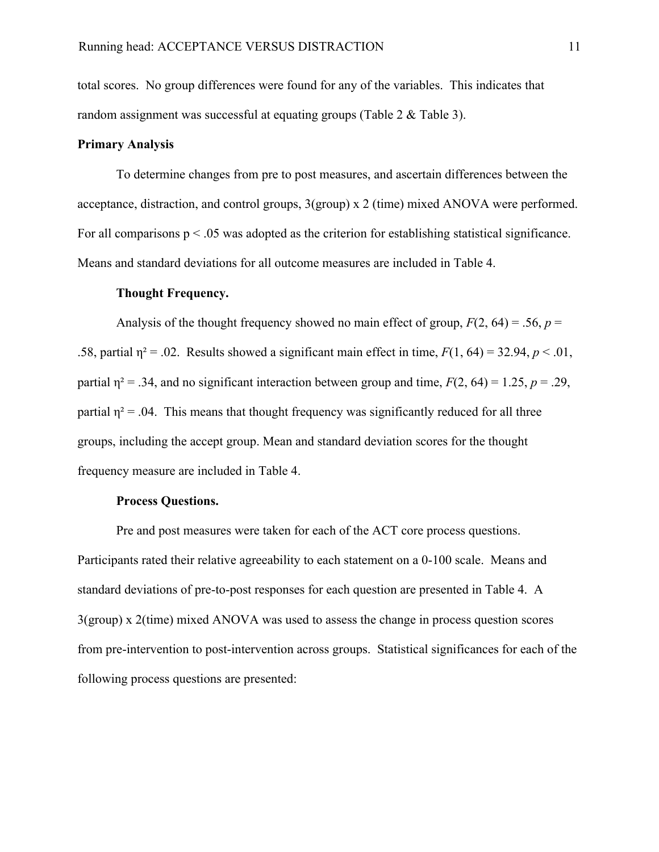total scores. No group differences were found for any of the variables. This indicates that random assignment was successful at equating groups (Table 2 & Table 3).

## **Primary Analysis**

To determine changes from pre to post measures, and ascertain differences between the acceptance, distraction, and control groups, 3(group) x 2 (time) mixed ANOVA were performed. For all comparisons  $p < 0.05$  was adopted as the criterion for establishing statistical significance. Means and standard deviations for all outcome measures are included in Table 4.

### **Thought Frequency.**

Analysis of the thought frequency showed no main effect of group,  $F(2, 64) = .56$ ,  $p =$ .58, partial  $\eta^2 = 0.02$ . Results showed a significant main effect in time,  $F(1, 64) = 32.94$ ,  $p < 0.01$ , partial  $\eta^2 = .34$ , and no significant interaction between group and time,  $F(2, 64) = 1.25$ ,  $p = .29$ , partial  $n^2$  = .04. This means that thought frequency was significantly reduced for all three groups, including the accept group. Mean and standard deviation scores for the thought frequency measure are included in Table 4.

## **Process Questions.**

Pre and post measures were taken for each of the ACT core process questions. Participants rated their relative agreeability to each statement on a 0-100 scale. Means and standard deviations of pre-to-post responses for each question are presented in Table 4. A 3(group) x 2(time) mixed ANOVA was used to assess the change in process question scores from pre-intervention to post-intervention across groups. Statistical significances for each of the following process questions are presented: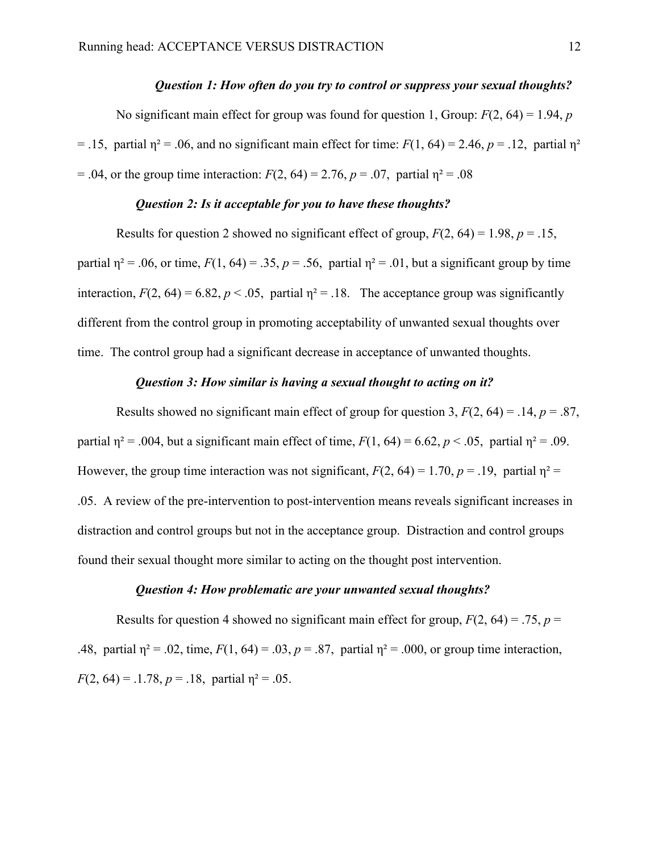#### *Question 1: How often do you try to control or suppress your sexual thoughts?*

No significant main effect for group was found for question 1, Group: *F*(2, 64) = 1.94, *p*  $= .15$ , partial  $\eta^2 = .06$ , and no significant main effect for time:  $F(1, 64) = 2.46$ ,  $p = .12$ , partial  $\eta^2$  $= .04$ , or the group time interaction:  $F(2, 64) = 2.76$ ,  $p = .07$ , partial  $\eta^2 = .08$ 

## *Question 2: Is it acceptable for you to have these thoughts?*

Results for question 2 showed no significant effect of group,  $F(2, 64) = 1.98$ ,  $p = .15$ , partial  $\eta^2$  = .06, or time,  $F(1, 64)$  = .35,  $p = .56$ , partial  $\eta^2$  = .01, but a significant group by time interaction,  $F(2, 64) = 6.82$ ,  $p < .05$ , partial  $\eta^2 = .18$ . The acceptance group was significantly different from the control group in promoting acceptability of unwanted sexual thoughts over time. The control group had a significant decrease in acceptance of unwanted thoughts.

## *Question 3: How similar is having a sexual thought to acting on it?*

Results showed no significant main effect of group for question 3,  $F(2, 64) = .14$ ,  $p = .87$ , partial  $\eta^2$  = .004, but a significant main effect of time,  $F(1, 64)$  = 6.62,  $p < .05$ , partial  $\eta^2$  = .09. However, the group time interaction was not significant,  $F(2, 64) = 1.70$ ,  $p = .19$ , partial  $\eta^2 =$ .05. A review of the pre-intervention to post-intervention means reveals significant increases in distraction and control groups but not in the acceptance group. Distraction and control groups found their sexual thought more similar to acting on the thought post intervention.

#### *Question 4: How problematic are your unwanted sexual thoughts?*

Results for question 4 showed no significant main effect for group,  $F(2, 64) = .75$ ,  $p =$ .48, partial  $\eta^2 = .02$ , time,  $F(1, 64) = .03$ ,  $p = .87$ , partial  $\eta^2 = .000$ , or group time interaction, *F*(2, 64) = .1.78, *p* = .18, partial  $\eta^2$  = .05.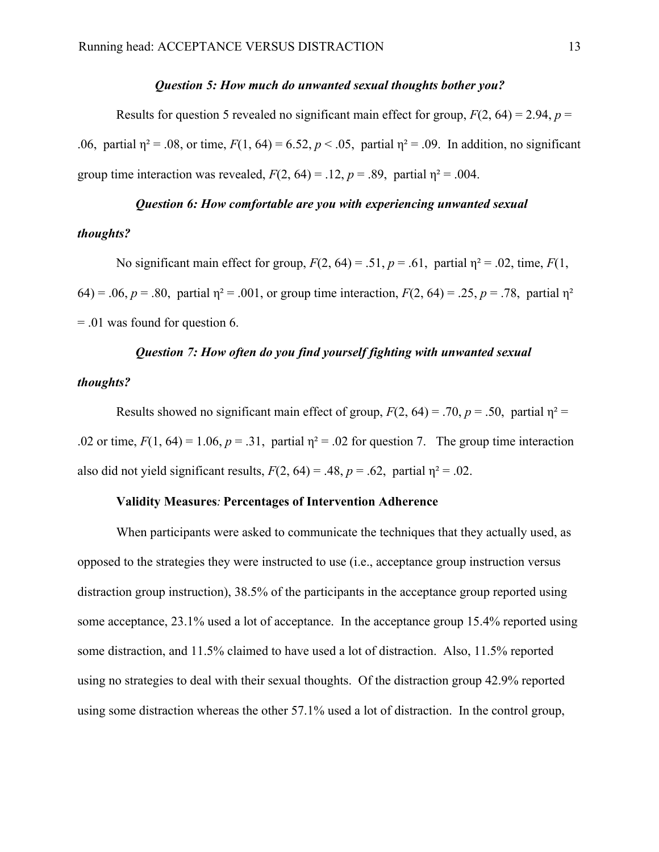### *Question 5: How much do unwanted sexual thoughts bother you?*

Results for question 5 revealed no significant main effect for group,  $F(2, 64) = 2.94$ ,  $p =$ .06, partial  $\eta^2 = .08$ , or time,  $F(1, 64) = 6.52$ ,  $p < .05$ , partial  $\eta^2 = .09$ . In addition, no significant group time interaction was revealed,  $F(2, 64) = .12$ ,  $p = .89$ , partial  $\eta^2 = .004$ .

## *Question 6: How comfortable are you with experiencing unwanted sexual*

## *thoughts?*

No significant main effect for group,  $F(2, 64) = .51$ ,  $p = .61$ , partial  $\eta^2 = .02$ , time,  $F(1, 64) = .51$ 64) = .06,  $p = .80$ , partial  $\eta^2 = .001$ , or group time interaction,  $F(2, 64) = .25$ ,  $p = .78$ , partial  $\eta^2$ = .01 was found for question 6.

## *Question 7: How often do you find yourself fighting with unwanted sexual*

## *thoughts?*

Results showed no significant main effect of group,  $F(2, 64) = .70$ ,  $p = .50$ , partial  $n^2 =$ .02 or time,  $F(1, 64) = 1.06$ ,  $p = .31$ , partial  $\eta^2 = .02$  for question 7. The group time interaction also did not yield significant results,  $F(2, 64) = .48$ ,  $p = .62$ , partial  $\eta^2 = .02$ .

## **Validity Measures***:"***Percentages of Intervention Adherence**

When participants were asked to communicate the techniques that they actually used, as opposed to the strategies they were instructed to use (i.e., acceptance group instruction versus distraction group instruction), 38.5% of the participants in the acceptance group reported using some acceptance, 23.1% used a lot of acceptance. In the acceptance group 15.4% reported using some distraction, and 11.5% claimed to have used a lot of distraction. Also, 11.5% reported using no strategies to deal with their sexual thoughts. Of the distraction group 42.9% reported using some distraction whereas the other 57.1% used a lot of distraction. In the control group,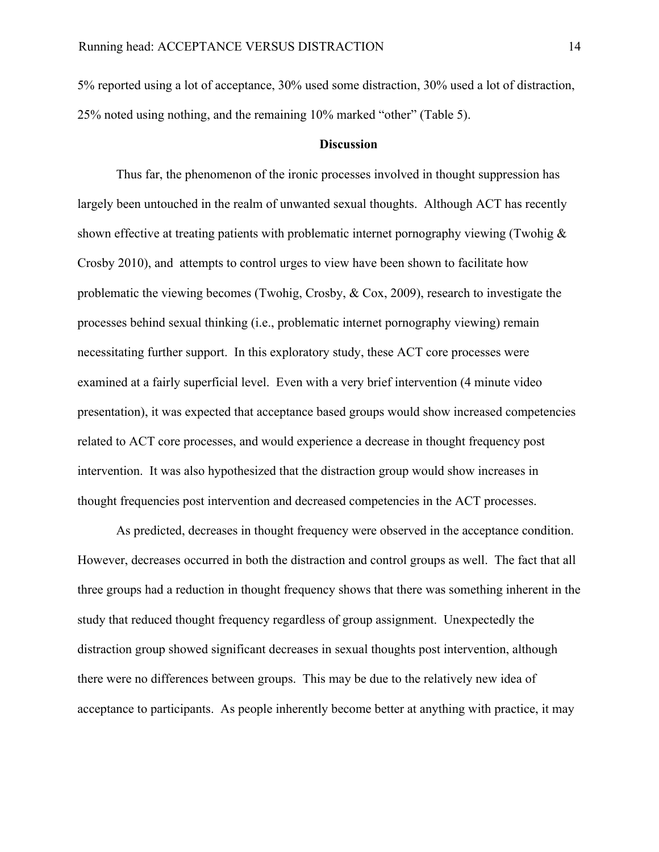5% reported using a lot of acceptance, 30% used some distraction, 30% used a lot of distraction, 25% noted using nothing, and the remaining 10% marked "other" (Table 5).

### **Discussion**

Thus far, the phenomenon of the ironic processes involved in thought suppression has largely been untouched in the realm of unwanted sexual thoughts. Although ACT has recently shown effective at treating patients with problematic internet pornography viewing (Twohig & Crosby 2010), and attempts to control urges to view have been shown to facilitate how problematic the viewing becomes (Twohig, Crosby, & Cox, 2009), research to investigate the processes behind sexual thinking (i.e., problematic internet pornography viewing) remain necessitating further support. In this exploratory study, these ACT core processes were examined at a fairly superficial level. Even with a very brief intervention (4 minute video presentation), it was expected that acceptance based groups would show increased competencies related to ACT core processes, and would experience a decrease in thought frequency post intervention. It was also hypothesized that the distraction group would show increases in thought frequencies post intervention and decreased competencies in the ACT processes.

As predicted, decreases in thought frequency were observed in the acceptance condition. However, decreases occurred in both the distraction and control groups as well. The fact that all three groups had a reduction in thought frequency shows that there was something inherent in the study that reduced thought frequency regardless of group assignment. Unexpectedly the distraction group showed significant decreases in sexual thoughts post intervention, although there were no differences between groups. This may be due to the relatively new idea of acceptance to participants. As people inherently become better at anything with practice, it may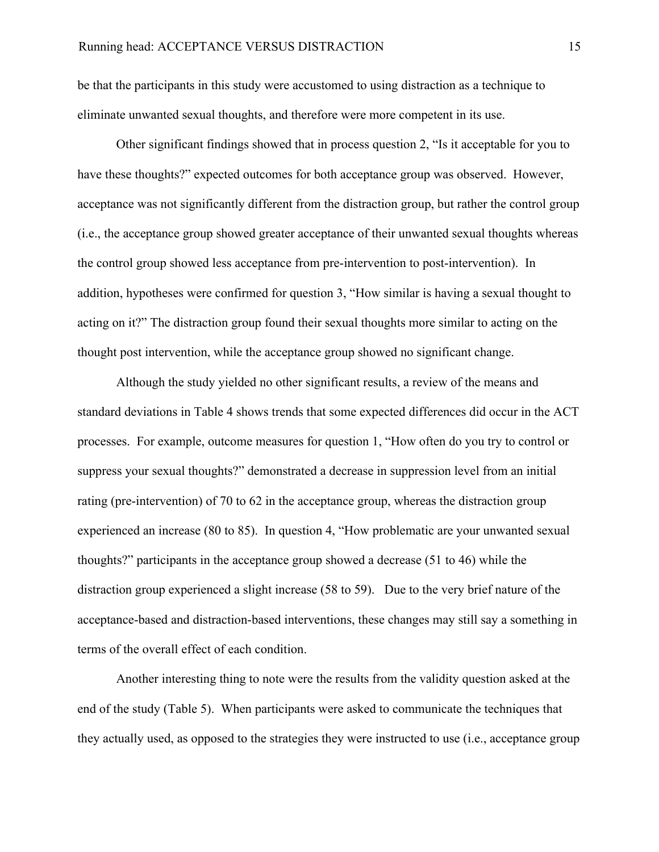be that the participants in this study were accustomed to using distraction as a technique to eliminate unwanted sexual thoughts, and therefore were more competent in its use.

Other significant findings showed that in process question 2, "Is it acceptable for you to have these thoughts?" expected outcomes for both acceptance group was observed. However, acceptance was not significantly different from the distraction group, but rather the control group (i.e., the acceptance group showed greater acceptance of their unwanted sexual thoughts whereas the control group showed less acceptance from pre-intervention to post-intervention). In addition, hypotheses were confirmed for question 3, "How similar is having a sexual thought to acting on it?" The distraction group found their sexual thoughts more similar to acting on the thought post intervention, while the acceptance group showed no significant change.

Although the study yielded no other significant results, a review of the means and standard deviations in Table 4 shows trends that some expected differences did occur in the ACT processes. For example, outcome measures for question 1, "How often do you try to control or suppress your sexual thoughts?" demonstrated a decrease in suppression level from an initial rating (pre-intervention) of 70 to 62 in the acceptance group, whereas the distraction group experienced an increase (80 to 85). In question 4, "How problematic are your unwanted sexual thoughts?" participants in the acceptance group showed a decrease (51 to 46) while the distraction group experienced a slight increase (58 to 59). Due to the very brief nature of the acceptance-based and distraction-based interventions, these changes may still say a something in terms of the overall effect of each condition.

Another interesting thing to note were the results from the validity question asked at the end of the study (Table 5). When participants were asked to communicate the techniques that they actually used, as opposed to the strategies they were instructed to use (i.e., acceptance group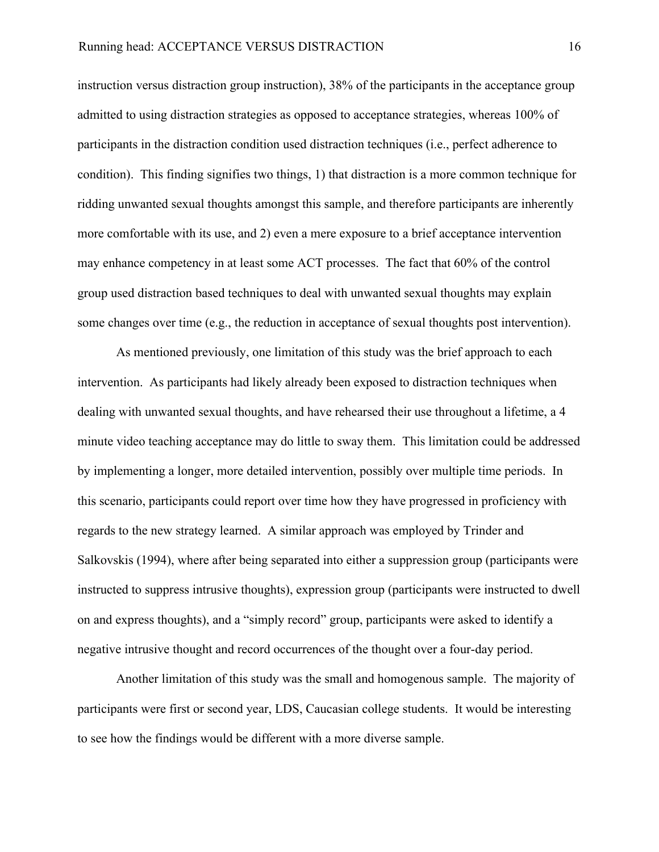instruction versus distraction group instruction), 38% of the participants in the acceptance group admitted to using distraction strategies as opposed to acceptance strategies, whereas 100% of participants in the distraction condition used distraction techniques (i.e., perfect adherence to condition). This finding signifies two things, 1) that distraction is a more common technique for ridding unwanted sexual thoughts amongst this sample, and therefore participants are inherently more comfortable with its use, and 2) even a mere exposure to a brief acceptance intervention may enhance competency in at least some ACT processes. The fact that 60% of the control group used distraction based techniques to deal with unwanted sexual thoughts may explain some changes over time (e.g., the reduction in acceptance of sexual thoughts post intervention).

As mentioned previously, one limitation of this study was the brief approach to each intervention. As participants had likely already been exposed to distraction techniques when dealing with unwanted sexual thoughts, and have rehearsed their use throughout a lifetime, a 4 minute video teaching acceptance may do little to sway them. This limitation could be addressed by implementing a longer, more detailed intervention, possibly over multiple time periods. In this scenario, participants could report over time how they have progressed in proficiency with regards to the new strategy learned. A similar approach was employed by Trinder and Salkovskis (1994), where after being separated into either a suppression group (participants were instructed to suppress intrusive thoughts), expression group (participants were instructed to dwell on and express thoughts), and a "simply record" group, participants were asked to identify a negative intrusive thought and record occurrences of the thought over a four-day period.

Another limitation of this study was the small and homogenous sample. The majority of participants were first or second year, LDS, Caucasian college students. It would be interesting to see how the findings would be different with a more diverse sample.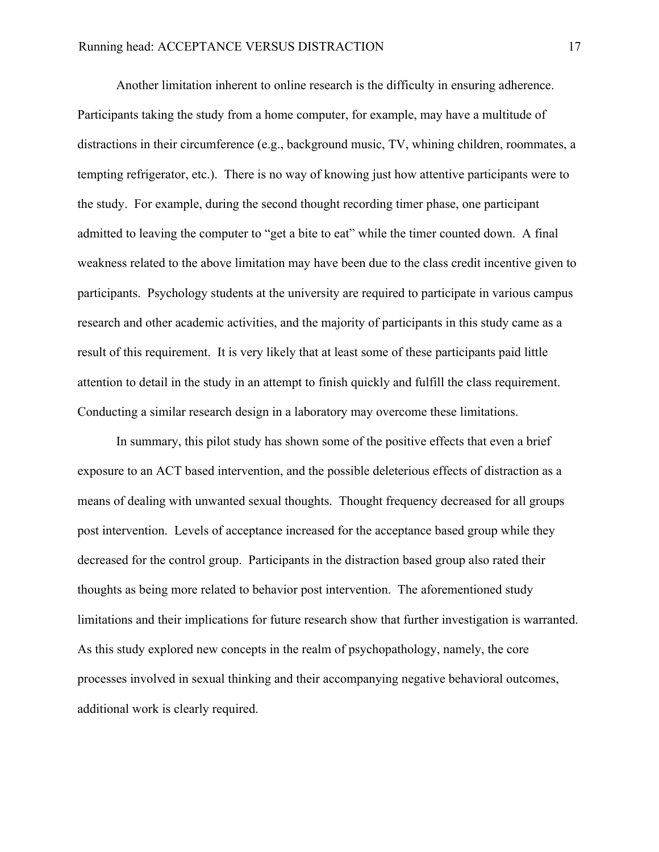Another limitation inherent to online research is the difficulty in ensuring adherence. Participants taking the study from a home computer, for example, may have a multitude of distractions in their circumference (e.g., background music, TV, whining children, roommates, a tempting refrigerator, etc.). There is no way of knowing just how attentive participants were to the study. For example, during the second thought recording timer phase, one participant admitted to leaving the computer to "get a bite to eat" while the timer counted down. A final weakness related to the above limitation may have been due to the class credit incentive given to participants. Psychology students at the university are required to participate in various campus research and other academic activities, and the majority of participants in this study came as a result of this requirement. It is very likely that at least some of these participants paid little attention to detail in the study in an attempt to finish quickly and fulfill the class requirement. Conducting a similar research design in a laboratory may overcome these limitations.

In summary, this pilot study has shown some of the positive effects that even a brief exposure to an ACT based intervention, and the possible deleterious effects of distraction as a means of dealing with unwanted sexual thoughts. Thought frequency decreased for all groups post intervention. Levels of acceptance increased for the acceptance based group while they decreased for the control group. Participants in the distraction based group also rated their thoughts as being more related to behavior post intervention. The aforementioned study limitations and their implications for future research show that further investigation is warranted. As this study explored new concepts in the realm of psychopathology, namely, the core processes involved in sexual thinking and their accompanying negative behavioral outcomes, additional work is clearly required.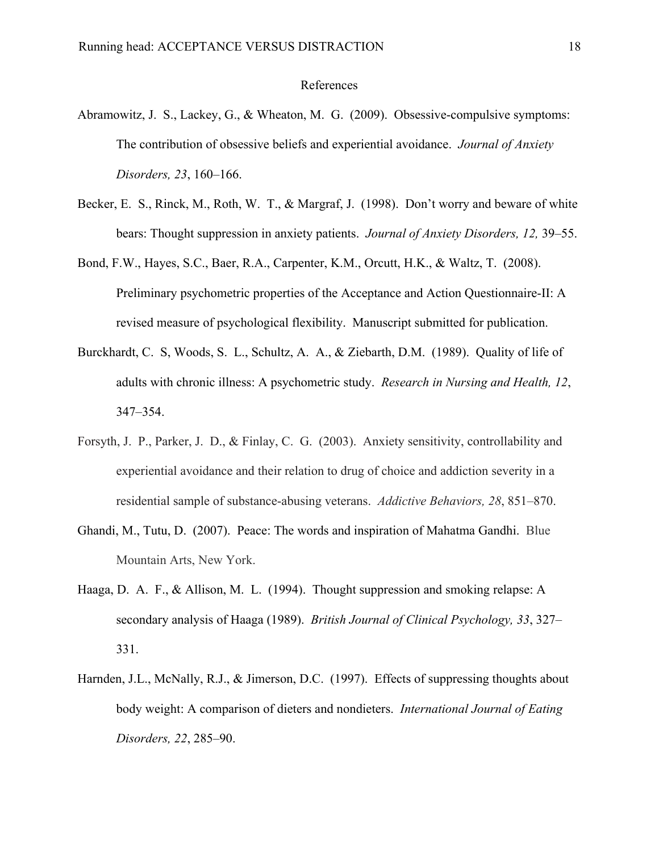#### References

- Abramowitz, J. S., Lackey, G., & Wheaton, M. G. (2009). Obsessive-compulsive symptoms: The contribution of obsessive beliefs and experiential avoidance. *Journal of Anxiety Disorders, 23*, 160–166.
- Becker, E. S., Rinck, M., Roth, W. T., & Margraf, J. (1998). Don't worry and beware of white bears: Thought suppression in anxiety patients. *Journal of Anxiety Disorders, 12,* 39–55.
- Bond, F.W., Hayes, S.C., Baer, R.A., Carpenter, K.M., Orcutt, H.K., & Waltz, T. (2008). Preliminary psychometric properties of the Acceptance and Action Questionnaire-II: A revised measure of psychological flexibility. Manuscript submitted for publication.
- Burckhardt, C. S, Woods, S. L., Schultz, A. A., & Ziebarth, D.M. (1989). Quality of life of adults with chronic illness: A psychometric study. *Research in Nursing and Health, 12*, 347–354.
- Forsyth, J. P., Parker, J. D., & Finlay, C. G. (2003). Anxiety sensitivity, controllability and experiential avoidance and their relation to drug of choice and addiction severity in a residential sample of substance-abusing veterans. *Addictive Behaviors, 28*, 851–870.
- Ghandi, M., Tutu, D. (2007). Peace: The words and inspiration of Mahatma Gandhi. Blue Mountain Arts, New York.
- Haaga, D. A. F., & Allison, M. L. (1994). Thought suppression and smoking relapse: A secondary analysis of Haaga (1989). *British Journal of Clinical Psychology, 33*, 327– 331.
- Harnden, J.L., McNally, R.J., & Jimerson, D.C. (1997). Effects of suppressing thoughts about body weight: A comparison of dieters and nondieters. *International Journal of Eating Disorders, 22*, 285–90.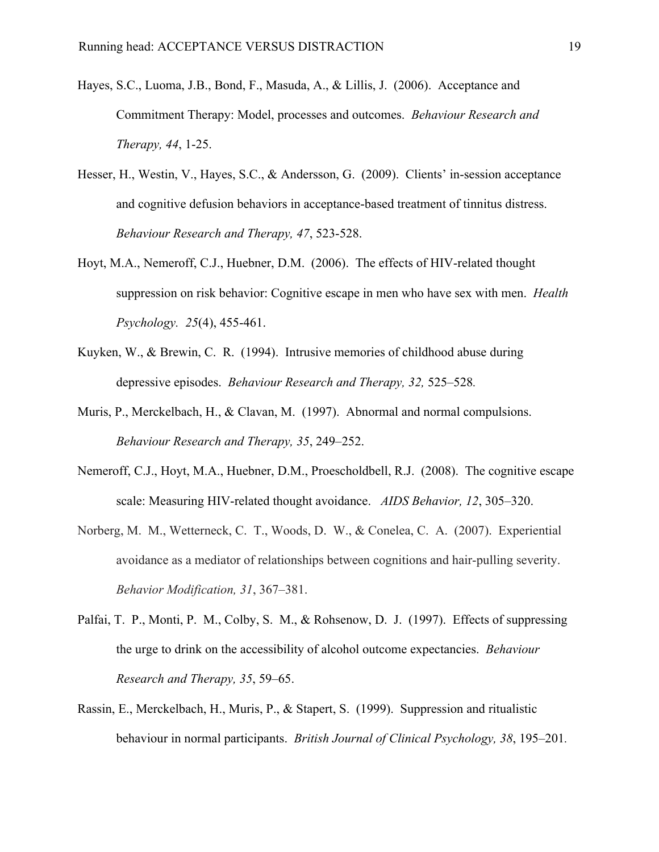- Hayes, S.C., Luoma, J.B., Bond, F., Masuda, A., & Lillis, J. (2006). Acceptance and Commitment Therapy: Model, processes and outcomes. *Behaviour Research and Therapy, 44*, 1-25.
- Hesser, H., Westin, V., Hayes, S.C., & Andersson, G. (2009). Clients' in-session acceptance and cognitive defusion behaviors in acceptance-based treatment of tinnitus distress. *Behaviour Research and Therapy, 47*, 523-528.
- Hoyt, M.A., Nemeroff, C.J., Huebner, D.M. (2006). The effects of HIV-related thought suppression on risk behavior: Cognitive escape in men who have sex with men. *Health Psychology. 25*(4), 455-461.
- Kuyken, W., & Brewin, C. R. (1994). Intrusive memories of childhood abuse during depressive episodes. *Behaviour Research and Therapy, 32,* 525–528*.*
- Muris, P., Merckelbach, H., & Clavan, M. (1997). Abnormal and normal compulsions. *Behaviour Research and Therapy, 35*, 249–252.
- Nemeroff, C.J., Hoyt, M.A., Huebner, D.M., Proescholdbell, R.J. (2008). The cognitive escape scale: Measuring HIV-related thought avoidance. *AIDS Behavior, 12*, 305–320.
- Norberg, M. M., Wetterneck, C. T., Woods, D. W., & Conelea, C. A. (2007). Experiential avoidance as a mediator of relationships between cognitions and hair-pulling severity. *Behavior Modification, 31*, 367–381.
- Palfai, T. P., Monti, P. M., Colby, S. M., & Rohsenow, D. J. (1997). Effects of suppressing the urge to drink on the accessibility of alcohol outcome expectancies. *Behaviour Research and Therapy, 35*, 59–65.
- Rassin, E., Merckelbach, H., Muris, P., & Stapert, S. (1999). Suppression and ritualistic behaviour in normal participants. *British Journal of Clinical Psychology, 38*, 195–201*.*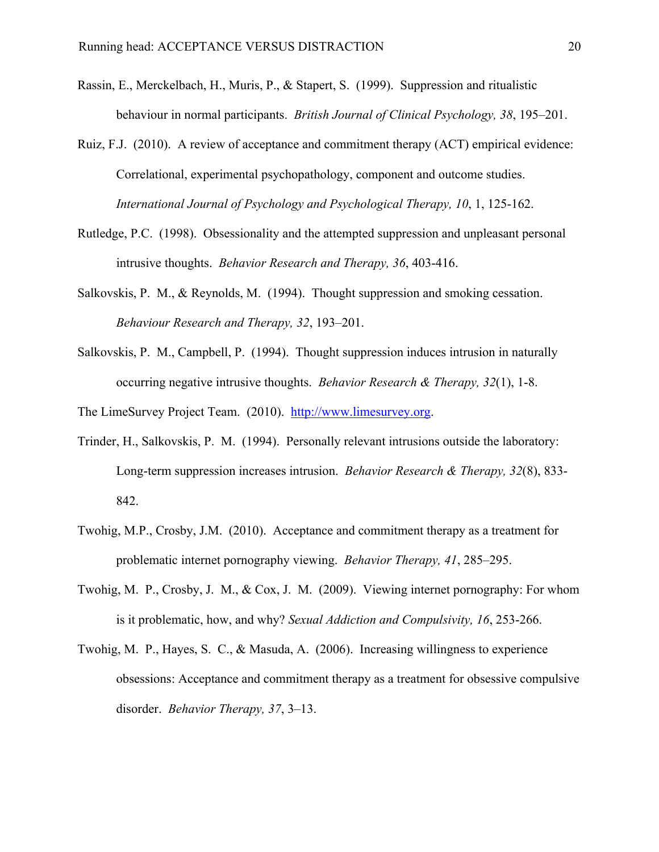- Rassin, E., Merckelbach, H., Muris, P., & Stapert, S. (1999). Suppression and ritualistic behaviour in normal participants. *British Journal of Clinical Psychology, 38*, 195–201.
- Ruiz, F.J. (2010). A review of acceptance and commitment therapy (ACT) empirical evidence: Correlational, experimental psychopathology, component and outcome studies. *International Journal of Psychology and Psychological Therapy, 10*, 1, 125-162.
- Rutledge, P.C. (1998). Obsessionality and the attempted suppression and unpleasant personal intrusive thoughts. *Behavior Research and Therapy, 36*, 403-416.
- Salkovskis, P. M., & Reynolds, M. (1994). Thought suppression and smoking cessation. *Behaviour Research and Therapy, 32*, 193–201.
- Salkovskis, P. M., Campbell, P. (1994). Thought suppression induces intrusion in naturally occurring negative intrusive thoughts. *Behavior Research & Therapy, 32*(1), 1-8.

The LimeSurvey Project Team. (2010). http://www.limesurvey.org.

- Trinder, H., Salkovskis, P. M. (1994). Personally relevant intrusions outside the laboratory: Long-term suppression increases intrusion. *Behavior Research & Therapy, 32*(8), 833- 842.
- Twohig, M.P., Crosby, J.M. (2010). Acceptance and commitment therapy as a treatment for problematic internet pornography viewing. *Behavior Therapy, 41*, 285–295.
- Twohig, M. P., Crosby, J. M., & Cox, J. M. (2009). Viewing internet pornography: For whom is it problematic, how, and why? *Sexual Addiction and Compulsivity, 16*, 253-266.
- Twohig, M. P., Hayes, S. C., & Masuda, A. (2006). Increasing willingness to experience obsessions: Acceptance and commitment therapy as a treatment for obsessive compulsive disorder. *Behavior Therapy, 37*, 3–13.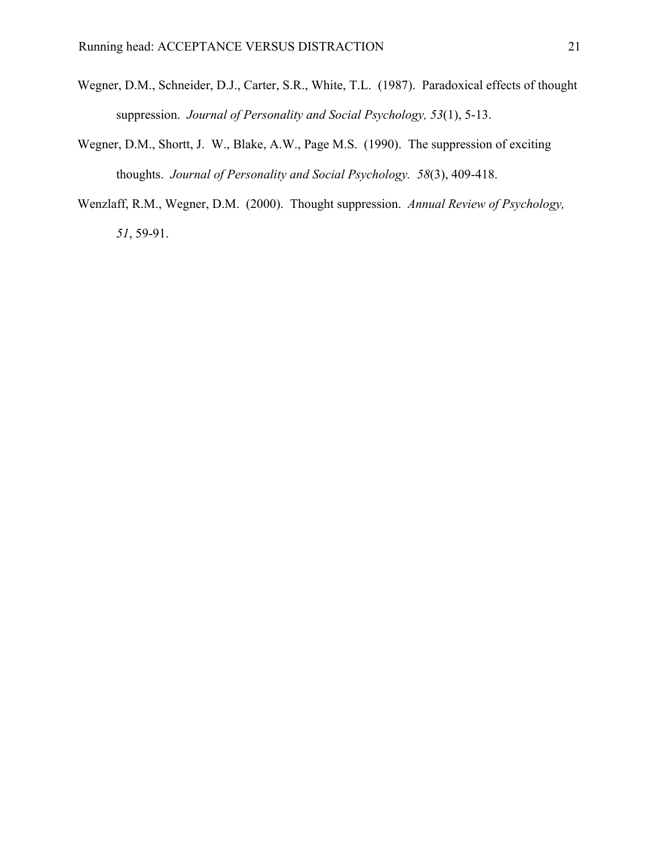- Wegner, D.M., Schneider, D.J., Carter, S.R., White, T.L. (1987). Paradoxical effects of thought suppression. *Journal of Personality and Social Psychology, 53*(1), 5-13.
- Wegner, D.M., Shortt, J. W., Blake, A.W., Page M.S. (1990). The suppression of exciting thoughts. *Journal of Personality and Social Psychology. 58*(3), 409-418.
- Wenzlaff, R.M., Wegner, D.M. (2000). Thought suppression. *Annual Review of Psychology, 51*, 59-91.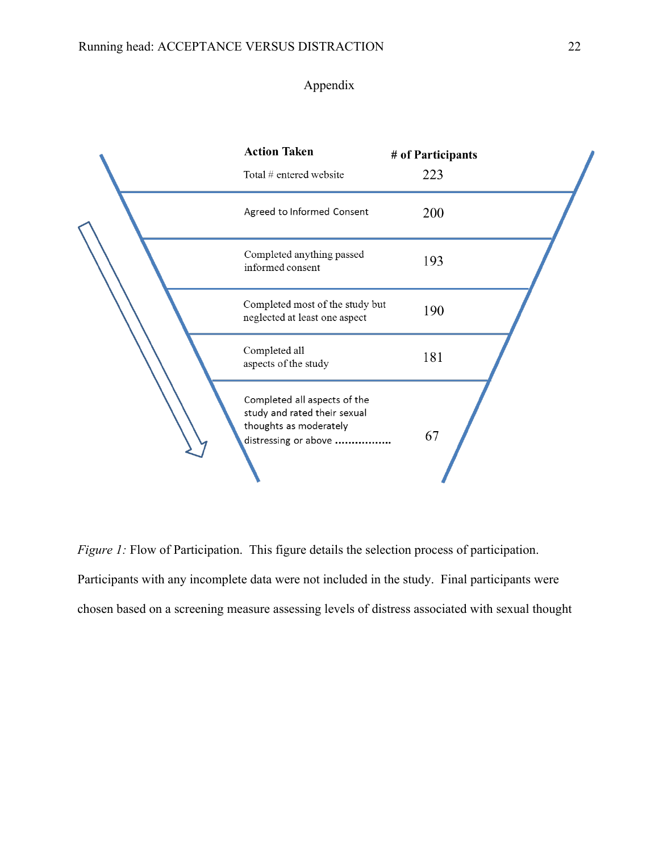## Appendix

| <b>Action Taken</b><br>Total # entered website                                                                 | # of Participants<br>223 |  |
|----------------------------------------------------------------------------------------------------------------|--------------------------|--|
| Agreed to Informed Consent                                                                                     | 200                      |  |
| Completed anything passed<br>informed consent                                                                  | 193                      |  |
| Completed most of the study but<br>neglected at least one aspect                                               | 190                      |  |
| Completed all<br>aspects of the study                                                                          | 181                      |  |
| Completed all aspects of the<br>study and rated their sexual<br>thoughts as moderately<br>distressing or above | 67                       |  |

*Figure 1:* Flow of Participation. This figure details the selection process of participation. Participants with any incomplete data were not included in the study. Final participants were chosen based on a screening measure assessing levels of distress associated with sexual thought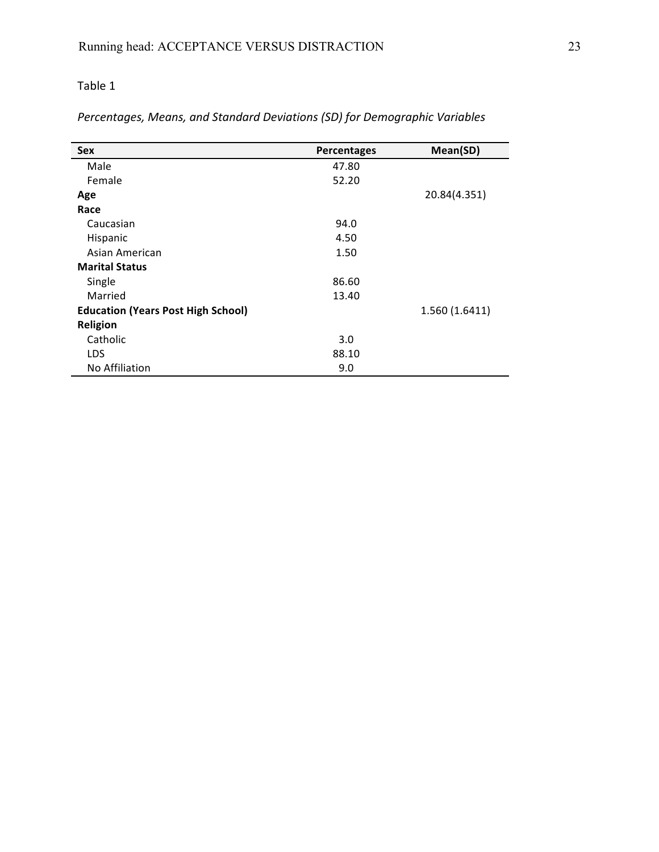Percentages, Means, and Standard Deviations (SD) for Demographic Variables

| <b>Sex</b>                                | Percentages | Mean(SD)       |
|-------------------------------------------|-------------|----------------|
| Male                                      | 47.80       |                |
| Female                                    | 52.20       |                |
| Age                                       |             | 20.84(4.351)   |
| Race                                      |             |                |
| Caucasian                                 | 94.0        |                |
| Hispanic                                  | 4.50        |                |
| Asian American                            | 1.50        |                |
| <b>Marital Status</b>                     |             |                |
| Single                                    | 86.60       |                |
| Married                                   | 13.40       |                |
| <b>Education (Years Post High School)</b> |             | 1.560 (1.6411) |
| <b>Religion</b>                           |             |                |
| Catholic                                  | 3.0         |                |
| <b>LDS</b>                                | 88.10       |                |
| No Affiliation                            | 9.0         |                |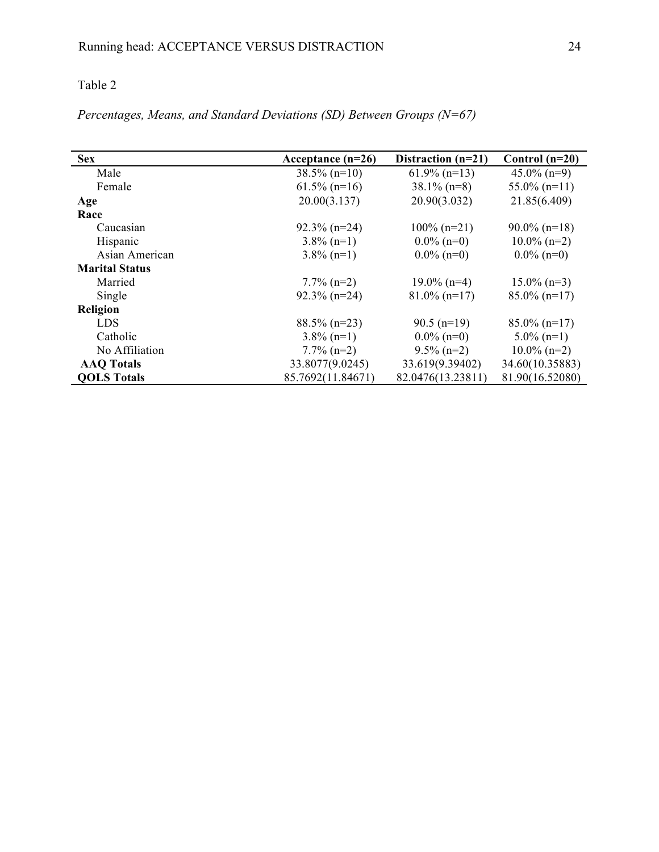*Percentages, Means, and Standard Deviations (SD) Between Groups (N=67)*

| <b>Sex</b>            | Acceptance $(n=26)$ | Distraction $(n=21)$ | Control $(n=20)$ |
|-----------------------|---------------------|----------------------|------------------|
| Male                  | $38.5\%$ (n=10)     | $61.9\%$ (n=13)      | $45.0\%$ (n=9)   |
| Female                | $61.5\%$ (n=16)     | $38.1\%$ (n=8)       | $55.0\%$ (n=11)  |
| Age                   | 20.00(3.137)        | 20.90(3.032)         | 21.85(6.409)     |
| Race                  |                     |                      |                  |
| Caucasian             | $92.3\%$ (n=24)     | $100\%$ (n=21)       | $90.0\%$ (n=18)  |
| Hispanic              | $3.8\%$ (n=1)       | $0.0\%$ (n=0)        | $10.0\%$ (n=2)   |
| Asian American        | $3.8\%$ (n=1)       | $0.0\%$ (n=0)        | $0.0\%$ (n=0)    |
| <b>Marital Status</b> |                     |                      |                  |
| Married               | $7.7\%$ (n=2)       | $19.0\%$ (n=4)       | $15.0\%$ (n=3)   |
| Single                | $92.3\%$ (n=24)     | $81.0\%$ (n=17)      | $85.0\%$ (n=17)  |
| Religion              |                     |                      |                  |
| LDS                   | $88.5\%$ (n=23)     | $90.5$ (n=19)        | $85.0\%$ (n=17)  |
| Catholic              | $3.8\%$ (n=1)       | $0.0\%$ (n=0)        | $5.0\%$ (n=1)    |
| No Affiliation        | $7.7\%$ (n=2)       | $9.5\%$ (n=2)        | $10.0\%$ (n=2)   |
| <b>AAQ</b> Totals     | 33.8077(9.0245)     | 33.619(9.39402)      | 34.60(10.35883)  |
| <b>QOLS Totals</b>    | 85.7692(11.84671)   | 82.0476(13.23811)    | 81.90(16.52080)  |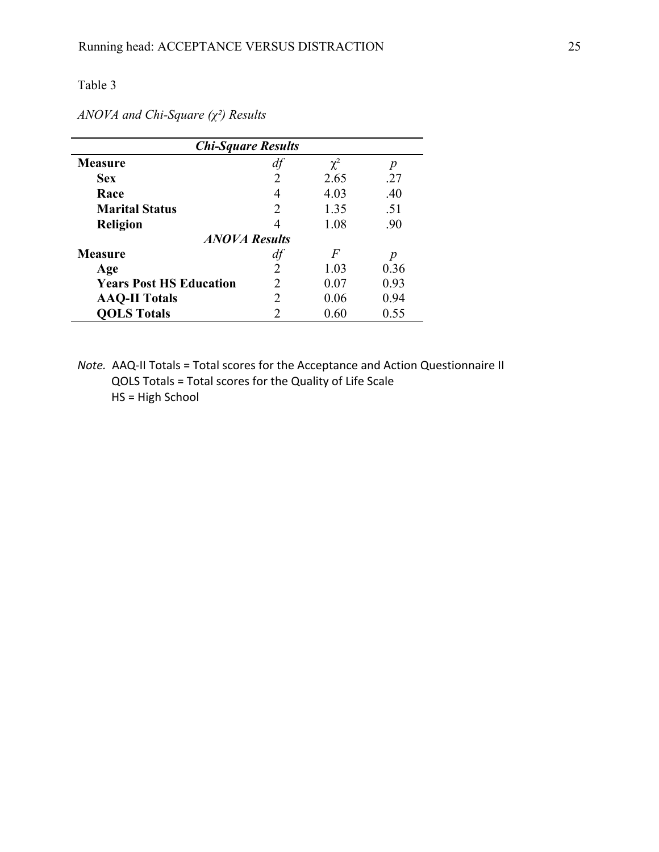| <b>Chi-Square Results</b>      |   |                |      |  |
|--------------------------------|---|----------------|------|--|
| Measure                        |   | $\chi^2$       | р    |  |
| <b>Sex</b>                     | 2 | 2.65           | .27  |  |
| Race                           | 4 | 4.03           | .40  |  |
| <b>Marital Status</b>          |   | 1.35           | .51  |  |
| <b>Religion</b>                |   | 1.08           | .90  |  |
| <b>ANOVA Results</b>           |   |                |      |  |
| <b>Measure</b>                 |   | $\overline{F}$ | p    |  |
| Age                            | 2 | 1.03           | 0.36 |  |
| <b>Years Post HS Education</b> |   | 0.07           | 0.93 |  |
| <b>AAQ-II Totals</b>           |   | 0.06           | 0.94 |  |
| <b>QOLS Totals</b>             |   | 0.60           | 0.55 |  |

*ANOVA and Chi-Square (χ²) Results*

*Note.* AAQ-II Totals = Total scores for the Acceptance and Action Questionnaire II QOLS Totals = Total scores for the Quality of Life Scale HS = High School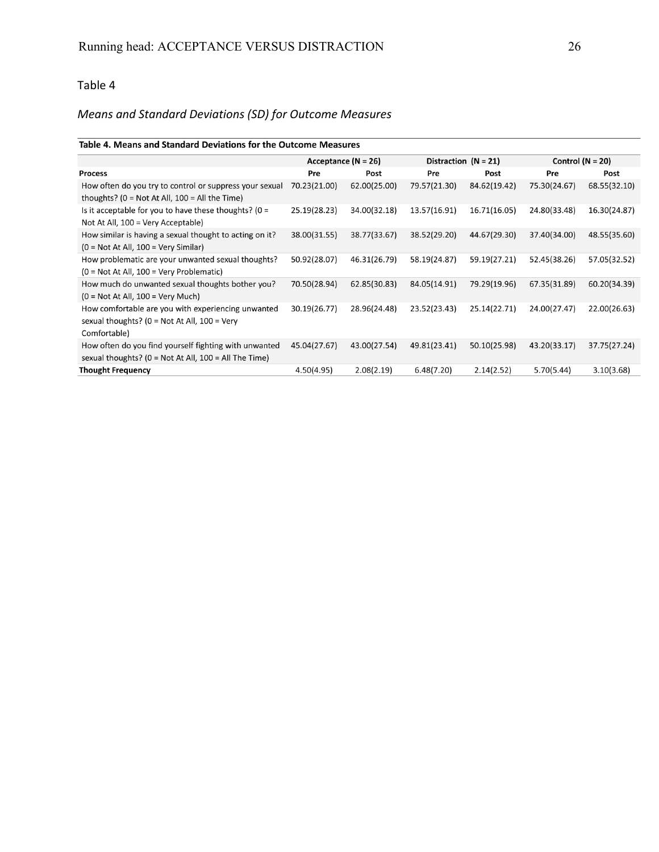# *Means"and"Standard"Deviations"(SD)"for"Outcome"Measures*

### Table 4. Means and Standard Deviations for the Outcome Measures

|                                                                                                                       | Acceptance ( $N = 26$ ) |              | Distraction $(N = 21)$ |              | Control ( $N = 20$ ) |              |
|-----------------------------------------------------------------------------------------------------------------------|-------------------------|--------------|------------------------|--------------|----------------------|--------------|
| <b>Process</b>                                                                                                        | Pre                     | Post         | Pre                    | Post         | Pre                  | Post         |
| How often do you try to control or suppress your sexual<br>thoughts? (0 = Not At All, $100 =$ All the Time)           | 70.23(21.00)            | 62.00(25.00) | 79.57(21.30)           | 84.62(19.42) | 75.30(24.67)         | 68.55(32.10) |
| Is it acceptable for you to have these thoughts? ( $0 =$<br>Not At All, $100 = V$ ery Acceptable)                     | 25.19(28.23)            | 34.00(32.18) | 13.57(16.91)           | 16.71(16.05) | 24.80(33.48)         | 16.30(24.87) |
| How similar is having a sexual thought to acting on it?<br>$(0 = Not At All, 100 = Very Similar)$                     | 38.00(31.55)            | 38.77(33.67) | 38.52(29.20)           | 44.67(29.30) | 37.40(34.00)         | 48.55(35.60) |
| How problematic are your unwanted sexual thoughts?<br>$(0 = Not At All, 100 = Very Problematic)$                      | 50.92(28.07)            | 46.31(26.79) | 58.19(24.87)           | 59.19(27.21) | 52.45(38.26)         | 57.05(32.52) |
| How much do unwanted sexual thoughts bother you?<br>$(0 = Not At All, 100 = Very Much)$                               | 70.50(28.94)            | 62.85(30.83) | 84.05(14.91)           | 79.29(19.96) | 67.35(31.89)         | 60.20(34.39) |
| How comfortable are you with experiencing unwanted<br>sexual thoughts? (0 = Not At All, $100 = V$ ery<br>Comfortable) | 30.19(26.77)            | 28.96(24.48) | 23.52(23.43)           | 25.14(22.71) | 24.00(27.47)         | 22.00(26.63) |
| How often do you find yourself fighting with unwanted<br>sexual thoughts? ( $0 = Not At All$ , $100 = All The Time$ ) | 45.04(27.67)            | 43.00(27.54) | 49.81(23.41)           | 50.10(25.98) | 43.20(33.17)         | 37.75(27.24) |
| <b>Thought Frequency</b>                                                                                              | 4.50(4.95)              | 2.08(2.19)   | 6.48(7.20)             | 2.14(2.52)   | 5.70(5.44)           | 3.10(3.68)   |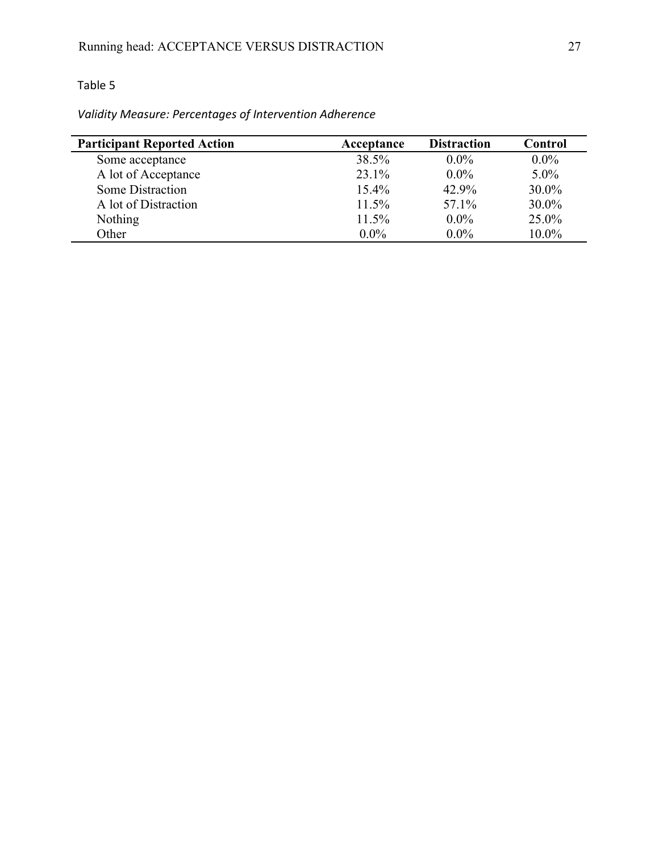# *Validity"Measure:"Percentages"of"Intervention"Adherence*

| <b>Participant Reported Action</b> | Acceptance | <b>Distraction</b> | Control  |
|------------------------------------|------------|--------------------|----------|
| Some acceptance                    | 38.5%      | $0.0\%$            | $0.0\%$  |
| A lot of Acceptance                | 23.1%      | $0.0\%$            | $5.0\%$  |
| Some Distraction                   | $15.4\%$   | 42.9%              | 30.0%    |
| A lot of Distraction               | 11.5%      | 57.1%              | $30.0\%$ |
| <b>Nothing</b>                     | 11.5%      | $0.0\%$            | 25.0%    |
| Other                              | $0.0\%$    | $0.0\%$            | 10.0%    |